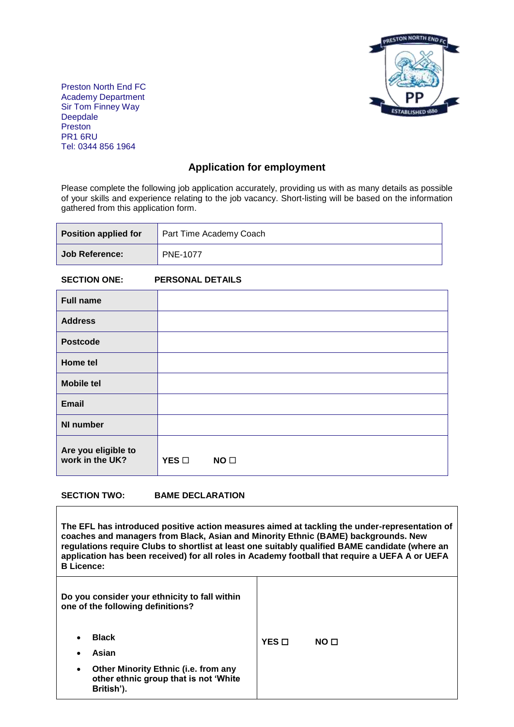

Preston North End FC Academy Department Sir Tom Finney Way Deepdale Preston PR1 6RU Tel: 0344 856 1964

# **Application for employment**

Please complete the following job application accurately, providing us with as many details as possible of your skills and experience relating to the job vacancy. Short-listing will be based on the information gathered from this application form.

| <b>Position applied for</b> | Part Time Academy Coach |
|-----------------------------|-------------------------|
| <b>Job Reference:</b>       | <b>PNE-1077</b>         |

# **SECTION ONE: PERSONAL DETAILS**

| <b>Full name</b>                       |               |                 |  |  |
|----------------------------------------|---------------|-----------------|--|--|
| <b>Address</b>                         |               |                 |  |  |
| <b>Postcode</b>                        |               |                 |  |  |
| Home tel                               |               |                 |  |  |
| <b>Mobile tel</b>                      |               |                 |  |  |
| <b>Email</b>                           |               |                 |  |  |
| <b>NI number</b>                       |               |                 |  |  |
| Are you eligible to<br>work in the UK? | YES $\square$ | NO <sub>1</sub> |  |  |

#### **SECTION TWO: BAME DECLARATION**

**The EFL has introduced positive action measures aimed at tackling the under-representation of coaches and managers from Black, Asian and Minority Ethnic (BAME) backgrounds. New regulations require Clubs to shortlist at least one suitably qualified BAME candidate (where an application has been received) for all roles in Academy football that require a UEFA A or UEFA B Licence:** 

| Do you consider your ethnicity to fall within<br>one of the following definitions?                       |       |                 |  |
|----------------------------------------------------------------------------------------------------------|-------|-----------------|--|
| <b>Black</b><br>$\bullet$<br>Asian<br>$\bullet$                                                          | YES □ | NO <sub>0</sub> |  |
| Other Minority Ethnic (i.e. from any<br>$\bullet$<br>other ethnic group that is not 'White<br>British'). |       |                 |  |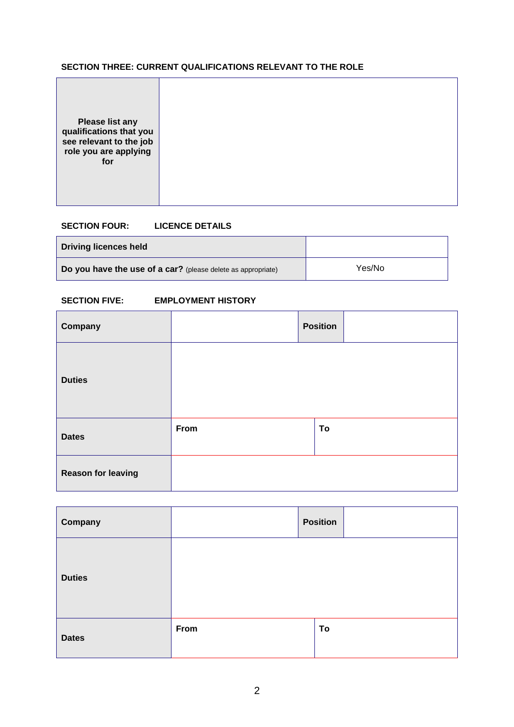# **SECTION THREE: CURRENT QUALIFICATIONS RELEVANT TO THE ROLE**

| <b>Please list any</b><br>qualifications that you<br>see relevant to the job<br>role you are applying<br>for |  |  |  |
|--------------------------------------------------------------------------------------------------------------|--|--|--|
|--------------------------------------------------------------------------------------------------------------|--|--|--|

# **SECTION FOUR: LICENCE DETAILS**

| <b>Driving licences held</b>                                 |        |
|--------------------------------------------------------------|--------|
| Do you have the use of a car? (please delete as appropriate) | Yes/No |

# **SECTION FIVE: EMPLOYMENT HISTORY**

| Company                   |      | <b>Position</b> |  |
|---------------------------|------|-----------------|--|
| <b>Duties</b>             |      |                 |  |
| <b>Dates</b>              | From | To              |  |
| <b>Reason for leaving</b> |      |                 |  |

| Company       |      | <b>Position</b> |  |
|---------------|------|-----------------|--|
| <b>Duties</b> |      |                 |  |
| <b>Dates</b>  | From | To              |  |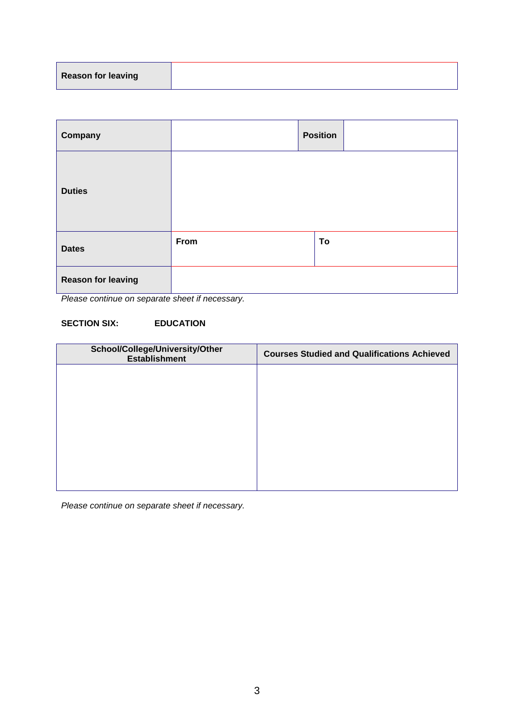| <b>Reason for leaving</b> |  |
|---------------------------|--|
|                           |  |

| Company                   |      | <b>Position</b> |
|---------------------------|------|-----------------|
| <b>Duties</b>             |      |                 |
| <b>Dates</b>              | From | To              |
| <b>Reason for leaving</b> |      |                 |

*Please continue on separate sheet if necessary.*

# **SECTION SIX: EDUCATION**

| <b>Courses Studied and Qualifications Achieved</b> |
|----------------------------------------------------|
|                                                    |
|                                                    |
|                                                    |
|                                                    |
|                                                    |
|                                                    |

*Please continue on separate sheet if necessary.*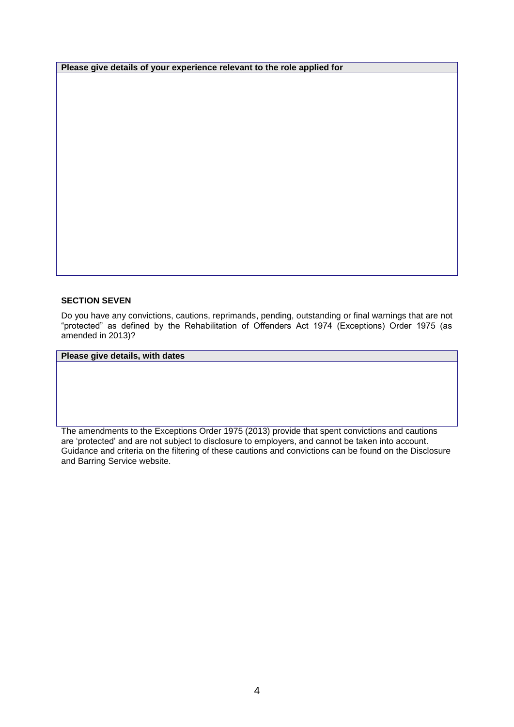**Please give details of your experience relevant to the role applied for**

#### **SECTION SEVEN**

Do you have any convictions, cautions, reprimands, pending, outstanding or final warnings that are not "protected" as defined by the Rehabilitation of Offenders Act 1974 (Exceptions) Order 1975 (as amended in 2013)?

# **Please give details, with dates**

The amendments to the Exceptions Order 1975 (2013) provide that spent convictions and cautions are 'protected' and are not subject to disclosure to employers, and cannot be taken into account. Guidance and criteria on the filtering of these cautions and convictions can be found on the Disclosure and Barring Service website.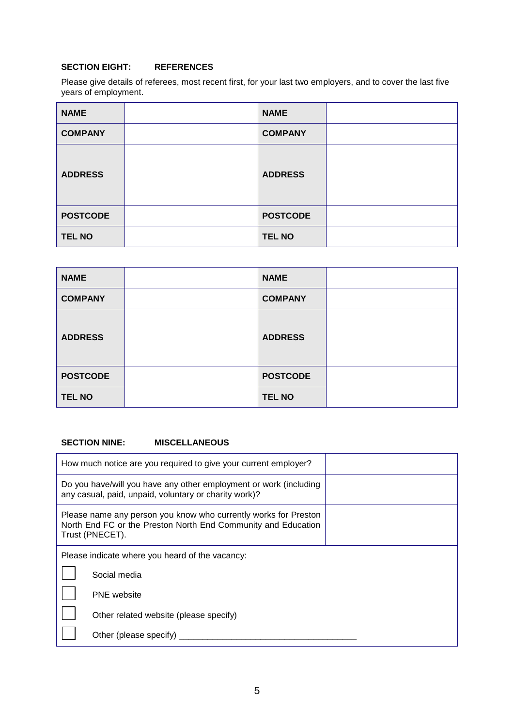# **SECTION EIGHT: REFERENCES**

Please give details of referees, most recent first, for your last two employers, and to cover the last five years of employment.

| <b>NAME</b>     | <b>NAME</b>     |  |
|-----------------|-----------------|--|
| <b>COMPANY</b>  | <b>COMPANY</b>  |  |
| <b>ADDRESS</b>  | <b>ADDRESS</b>  |  |
| <b>POSTCODE</b> | <b>POSTCODE</b> |  |
| <b>TEL NO</b>   | <b>TEL NO</b>   |  |

| <b>NAME</b>     | <b>NAME</b>     |  |
|-----------------|-----------------|--|
| <b>COMPANY</b>  | <b>COMPANY</b>  |  |
| <b>ADDRESS</b>  | <b>ADDRESS</b>  |  |
| <b>POSTCODE</b> | <b>POSTCODE</b> |  |
| <b>TEL NO</b>   | <b>TEL NO</b>   |  |

### **SECTION NINE: MISCELLANEOUS**

|                                                                                                                                                     | How much notice are you required to give your current employer?                                                            |  |  |
|-----------------------------------------------------------------------------------------------------------------------------------------------------|----------------------------------------------------------------------------------------------------------------------------|--|--|
|                                                                                                                                                     | Do you have/will you have any other employment or work (including<br>any casual, paid, unpaid, voluntary or charity work)? |  |  |
| Please name any person you know who currently works for Preston<br>North End FC or the Preston North End Community and Education<br>Trust (PNECET). |                                                                                                                            |  |  |
| Please indicate where you heard of the vacancy:                                                                                                     |                                                                                                                            |  |  |
|                                                                                                                                                     | Social media                                                                                                               |  |  |
|                                                                                                                                                     | <b>PNE</b> website                                                                                                         |  |  |
|                                                                                                                                                     | Other related website (please specify)                                                                                     |  |  |
|                                                                                                                                                     | Other (please specify)                                                                                                     |  |  |